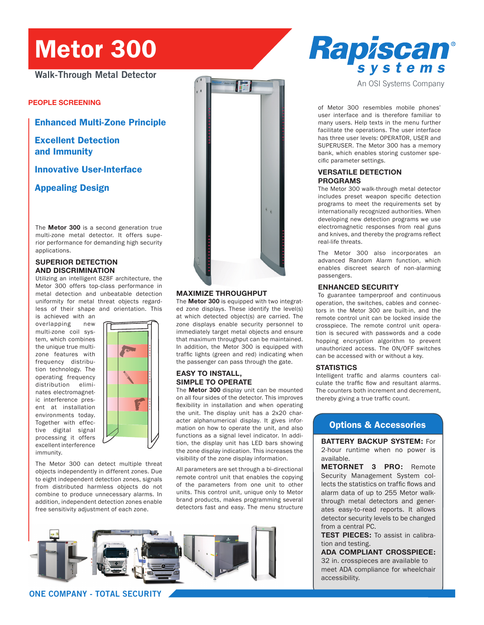# Metor 300

**Walk-Through Metal Detector**

**people screening**

Enhanced Multi-Zone Principle

Excellent Detection and Immunity

Innovative User-Interface

Appealing Design

The **Metor 300** is a second generation true multi-zone metal detector. It offers superior performance for demanding high security applications.

### **Superior Detection and Discrimination**

Utilizing an intelligent 8Z8F architecture, the Metor 300 offers top-class performance in metal detection and unbeatable detection uniformity for metal threat objects regardless of their shape and orientation. This

is achieved with an overlapping new multi-zone coil system, which combines the unique true multizone features with frequency distribution technology. The operating frequency distribution eliminates electromagnetic interference present at installation environments today. Together with effective digital signal processing it offers excellent interference immunity.



The Metor 300 can detect multiple threat objects independently in different zones. Due to eight independent detection zones, signals from distributed harmless objects do not combine to produce unnecessary alarms. In addition, independent detection zones enable free sensitivity adjustment of each zone.



### **Maximize Throughput**

The **Metor 300** is equipped with two integrated zone displays. These identify the level(s) at which detected object(s) are carried. The zone displays enable security personnel to immediately target metal objects and ensure that maximum throughput can be maintained. In addition, the Metor 300 is equipped with traffic lights (green and red) indicating when the passenger can pass through the gate.

### **Easy to Install, Simple to Operate**

The **Metor 300** display unit can be mounted on all four sides of the detector. This improves flexibility in installation and when operating the unit. The display unit has a 2x20 character alphanumerical display. It gives information on how to operate the unit, and also functions as a signal level indicator. In addition, the display unit has LED bars showing the zone display indication. This increases the visibility of the zone display information.

All parameters are set through a bi-directional remote control unit that enables the copying of the parameters from one unit to other units. This control unit, unique only to Metor brand products, makes programming several detectors fast and easy. The menu structure



### **ONE COMPANY - TOTAL SECURITY**

Rapiscan® systems

An OSI Systems Company

of Metor 300 resembles mobile phones' user interface and is therefore familiar to many users. Help texts in the menu further facilitate the operations. The user interface has three user levels: OPERATOR, USER and SUPERUSER. The Metor 300 has a memory bank, which enables storing customer specific parameter settings.

### **Versatile Detection Programs**

The Metor 300 walk-through metal detector includes preset weapon specific detection programs to meet the requirements set by internationally recognized authorities. When developing new detection programs we use electromagnetic responses from real guns and knives, and thereby the programs reflect real-life threats.

The Metor 300 also incorporates an advanced Random Alarm function, which enables discreet search of non-alarming passengers.

### **Enhanced Security**

To guarantee tamperproof and continuous operation, the switches, cables and connectors in the Metor 300 are built-in, and the remote control unit can be locked inside the crosspiece. The remote control unit operation is secured with passwords and a code hopping encryption algorithm to prevent unauthorized access. The ON/OFF switches can be accessed with or without a key.

#### **Statistics**

Intelligent traffic and alarms counters calculate the traffic flow and resultant alarms. The counters both increment and decrement, thereby giving a true traffic count.

## Options & Accessories

**Battery Backup system:** For

2-hour runtime when no power is available.

**MetorNet 3 Pro:** Remote Security Management System collects the statistics on traffic flows and alarm data of up to 255 Metor walkthrough metal detectors and generates easy-to-read reports. It allows detector security levels to be changed from a central PC.

**TEST PIECES:** To assist in calibration and testing.

### **ADA COMPLIANT CROSSPIECE:**

32 in. crosspieces are available to meet ADA compliance for wheelchair accessibility.